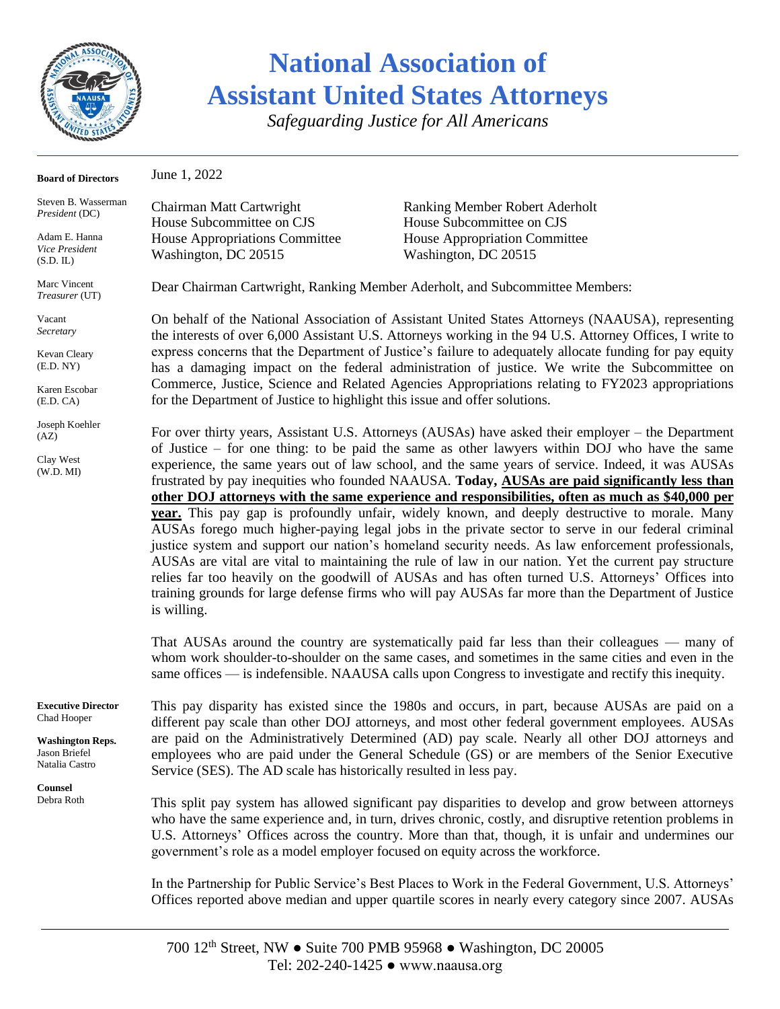

*Safeguarding Justice for All Americans*

| <b>Board of Directors</b>                                  | June 1, 2022                                                                                                                                                                                                                                                                                                                                                                                                                                                                                                                                                                                                                                                                                                                                                                                                                                                                                                                                                                                                                                                                                                                                                                                                                                                                                                                                                                                                                                                                                                                                                                                                                                                                                                                                                                   |                                                                                                                                                                                                                                                                                                              |  |  |
|------------------------------------------------------------|--------------------------------------------------------------------------------------------------------------------------------------------------------------------------------------------------------------------------------------------------------------------------------------------------------------------------------------------------------------------------------------------------------------------------------------------------------------------------------------------------------------------------------------------------------------------------------------------------------------------------------------------------------------------------------------------------------------------------------------------------------------------------------------------------------------------------------------------------------------------------------------------------------------------------------------------------------------------------------------------------------------------------------------------------------------------------------------------------------------------------------------------------------------------------------------------------------------------------------------------------------------------------------------------------------------------------------------------------------------------------------------------------------------------------------------------------------------------------------------------------------------------------------------------------------------------------------------------------------------------------------------------------------------------------------------------------------------------------------------------------------------------------------|--------------------------------------------------------------------------------------------------------------------------------------------------------------------------------------------------------------------------------------------------------------------------------------------------------------|--|--|
| Steven B. Wasserman<br><i>President</i> (DC)               | Chairman Matt Cartwright<br>House Subcommittee on CJS                                                                                                                                                                                                                                                                                                                                                                                                                                                                                                                                                                                                                                                                                                                                                                                                                                                                                                                                                                                                                                                                                                                                                                                                                                                                                                                                                                                                                                                                                                                                                                                                                                                                                                                          | Ranking Member Robert Aderholt<br>House Subcommittee on CJS                                                                                                                                                                                                                                                  |  |  |
| Adam E. Hanna<br>Vice President<br>(S.D. IL)               | House Appropriations Committee<br>Washington, DC 20515                                                                                                                                                                                                                                                                                                                                                                                                                                                                                                                                                                                                                                                                                                                                                                                                                                                                                                                                                                                                                                                                                                                                                                                                                                                                                                                                                                                                                                                                                                                                                                                                                                                                                                                         | House Appropriation Committee<br>Washington, DC 20515                                                                                                                                                                                                                                                        |  |  |
| Marc Vincent<br>Treasurer (UT)                             | Dear Chairman Cartwright, Ranking Member Aderholt, and Subcommittee Members:                                                                                                                                                                                                                                                                                                                                                                                                                                                                                                                                                                                                                                                                                                                                                                                                                                                                                                                                                                                                                                                                                                                                                                                                                                                                                                                                                                                                                                                                                                                                                                                                                                                                                                   |                                                                                                                                                                                                                                                                                                              |  |  |
| Vacant<br>Secretary                                        | On behalf of the National Association of Assistant United States Attorneys (NAAUSA), representing<br>the interests of over 6,000 Assistant U.S. Attorneys working in the 94 U.S. Attorney Offices, I write to<br>express concerns that the Department of Justice's failure to adequately allocate funding for pay equity<br>has a damaging impact on the federal administration of justice. We write the Subcommittee on<br>Commerce, Justice, Science and Related Agencies Appropriations relating to FY2023 appropriations<br>for the Department of Justice to highlight this issue and offer solutions.<br>For over thirty years, Assistant U.S. Attorneys (AUSAs) have asked their employer – the Department<br>of Justice $-$ for one thing: to be paid the same as other lawyers within DOJ who have the same<br>experience, the same years out of law school, and the same years of service. Indeed, it was AUSAs<br>frustrated by pay inequities who founded NAAUSA. Today, AUSAs are paid significantly less than<br>other DOJ attorneys with the same experience and responsibilities, often as much as \$40,000 per<br>year. This pay gap is profoundly unfair, widely known, and deeply destructive to morale. Many<br>AUSAs forego much higher-paying legal jobs in the private sector to serve in our federal criminal<br>justice system and support our nation's homeland security needs. As law enforcement professionals,<br>AUSAs are vital are vital to maintaining the rule of law in our nation. Yet the current pay structure<br>relies far too heavily on the goodwill of AUSAs and has often turned U.S. Attorneys' Offices into<br>training grounds for large defense firms who will pay AUSAs far more than the Department of Justice<br>is willing. |                                                                                                                                                                                                                                                                                                              |  |  |
| Kevan Cleary<br>(E.D. NY)                                  |                                                                                                                                                                                                                                                                                                                                                                                                                                                                                                                                                                                                                                                                                                                                                                                                                                                                                                                                                                                                                                                                                                                                                                                                                                                                                                                                                                                                                                                                                                                                                                                                                                                                                                                                                                                |                                                                                                                                                                                                                                                                                                              |  |  |
| Karen Escobar<br>(E.D. CA)                                 |                                                                                                                                                                                                                                                                                                                                                                                                                                                                                                                                                                                                                                                                                                                                                                                                                                                                                                                                                                                                                                                                                                                                                                                                                                                                                                                                                                                                                                                                                                                                                                                                                                                                                                                                                                                |                                                                                                                                                                                                                                                                                                              |  |  |
| Joseph Koehler<br>(AZ)<br>Clay West<br>(W.D. MI)           |                                                                                                                                                                                                                                                                                                                                                                                                                                                                                                                                                                                                                                                                                                                                                                                                                                                                                                                                                                                                                                                                                                                                                                                                                                                                                                                                                                                                                                                                                                                                                                                                                                                                                                                                                                                |                                                                                                                                                                                                                                                                                                              |  |  |
|                                                            |                                                                                                                                                                                                                                                                                                                                                                                                                                                                                                                                                                                                                                                                                                                                                                                                                                                                                                                                                                                                                                                                                                                                                                                                                                                                                                                                                                                                                                                                                                                                                                                                                                                                                                                                                                                | That AUSAs around the country are systematically paid far less than their colleagues — many of<br>whom work shoulder-to-shoulder on the same cases, and sometimes in the same cities and even in the<br>same offices — is indefensible. NAAUSA calls upon Congress to investigate and rectify this inequity. |  |  |
| <b>Executive Director</b><br>Chad Hooper                   | This pay disparity has existed since the 1980s and occurs, in part, because AUSAs are paid on a<br>different pay scale than other DOJ attorneys, and most other federal government employees. AUSAs                                                                                                                                                                                                                                                                                                                                                                                                                                                                                                                                                                                                                                                                                                                                                                                                                                                                                                                                                                                                                                                                                                                                                                                                                                                                                                                                                                                                                                                                                                                                                                            |                                                                                                                                                                                                                                                                                                              |  |  |
| <b>Washington Reps.</b><br>Jason Briefel<br>Natalia Castro | are paid on the Administratively Determined (AD) pay scale. Nearly all other DOJ attorneys and<br>employees who are paid under the General Schedule (GS) or are members of the Senior Executive<br>Service (SES). The AD scale has historically resulted in less pay.                                                                                                                                                                                                                                                                                                                                                                                                                                                                                                                                                                                                                                                                                                                                                                                                                                                                                                                                                                                                                                                                                                                                                                                                                                                                                                                                                                                                                                                                                                          |                                                                                                                                                                                                                                                                                                              |  |  |
| Counsel<br>Debra Roth                                      | This split pay system has allowed significant pay disparities to develop and grow between attorneys<br>who have the same experience and, in turn, drives chronic, costly, and disruptive retention problems in<br>U.S. Attorneys' Offices across the country. More than that, though, it is unfair and undermines our                                                                                                                                                                                                                                                                                                                                                                                                                                                                                                                                                                                                                                                                                                                                                                                                                                                                                                                                                                                                                                                                                                                                                                                                                                                                                                                                                                                                                                                          |                                                                                                                                                                                                                                                                                                              |  |  |

In the Partnership for Public Service's Best Places to Work in the Federal Government, U.S. Attorneys' Offices reported above median and upper quartile scores in nearly every category since 2007. AUSAs

government's role as a model employer focused on equity across the workforce.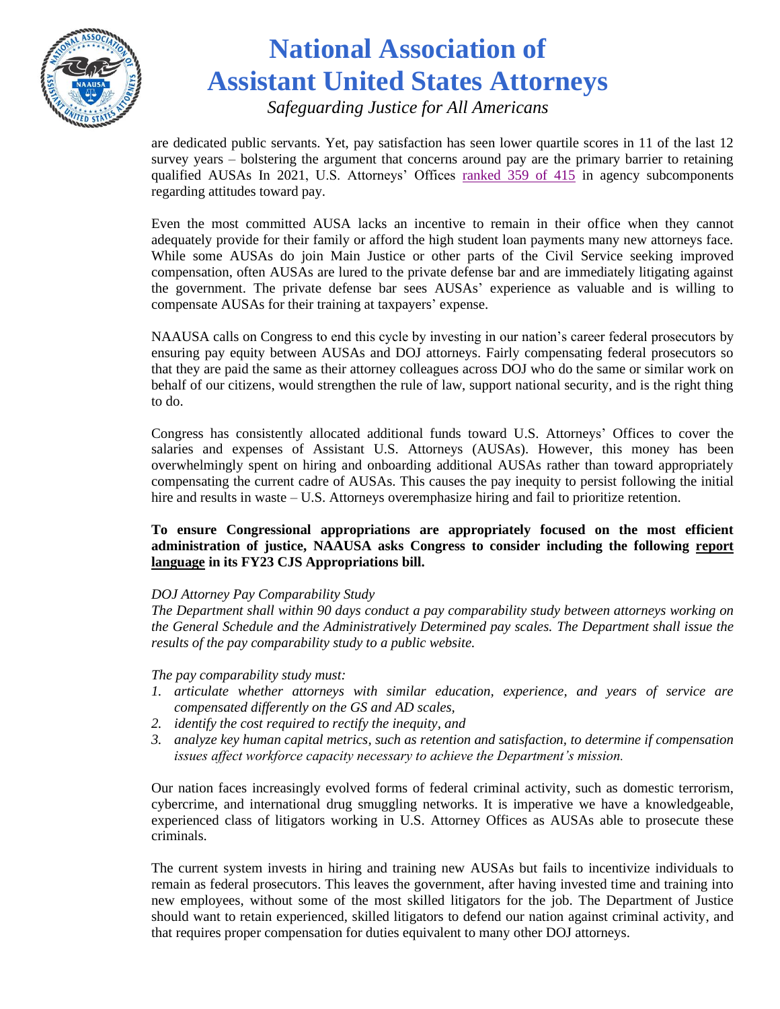

*Safeguarding Justice for All Americans*

are dedicated public servants. Yet, pay satisfaction has seen lower quartile scores in 11 of the last 12 survey years – bolstering the argument that concerns around pay are the primary barrier to retaining qualified AUSAs In 2021, U.S. Attorneys' Offices [ranked 359](https://bestplacestowork.org/rankings/detail/DJ09) of 415 in agency subcomponents regarding attitudes toward pay.

Even the most committed AUSA lacks an incentive to remain in their office when they cannot adequately provide for their family or afford the high student loan payments many new attorneys face. While some AUSAs do join Main Justice or other parts of the Civil Service seeking improved compensation, often AUSAs are lured to the private defense bar and are immediately litigating against the government. The private defense bar sees AUSAs' experience as valuable and is willing to compensate AUSAs for their training at taxpayers' expense.

NAAUSA calls on Congress to end this cycle by investing in our nation's career federal prosecutors by ensuring pay equity between AUSAs and DOJ attorneys. Fairly compensating federal prosecutors so that they are paid the same as their attorney colleagues across DOJ who do the same or similar work on behalf of our citizens, would strengthen the rule of law, support national security, and is the right thing to do.

Congress has consistently allocated additional funds toward U.S. Attorneys' Offices to cover the salaries and expenses of Assistant U.S. Attorneys (AUSAs). However, this money has been overwhelmingly spent on hiring and onboarding additional AUSAs rather than toward appropriately compensating the current cadre of AUSAs. This causes the pay inequity to persist following the initial hire and results in waste – U.S. Attorneys overemphasize hiring and fail to prioritize retention.

#### **To ensure Congressional appropriations are appropriately focused on the most efficient administration of justice, NAAUSA asks Congress to consider including the following report language in its FY23 CJS Appropriations bill.**

#### *DOJ Attorney Pay Comparability Study*

*The Department shall within 90 days conduct a pay comparability study between attorneys working on the General Schedule and the Administratively Determined pay scales. The Department shall issue the results of the pay comparability study to a public website.*

*The pay comparability study must:*

- *1. articulate whether attorneys with similar education, experience, and years of service are compensated differently on the GS and AD scales,*
- *2. identify the cost required to rectify the inequity, and*
- *3. analyze key human capital metrics, such as retention and satisfaction, to determine if compensation issues affect workforce capacity necessary to achieve the Department's mission.*

Our nation faces increasingly evolved forms of federal criminal activity, such as domestic terrorism, cybercrime, and international drug smuggling networks. It is imperative we have a knowledgeable, experienced class of litigators working in U.S. Attorney Offices as AUSAs able to prosecute these criminals.

The current system invests in hiring and training new AUSAs but fails to incentivize individuals to remain as federal prosecutors. This leaves the government, after having invested time and training into new employees, without some of the most skilled litigators for the job. The Department of Justice should want to retain experienced, skilled litigators to defend our nation against criminal activity, and that requires proper compensation for duties equivalent to many other DOJ attorneys.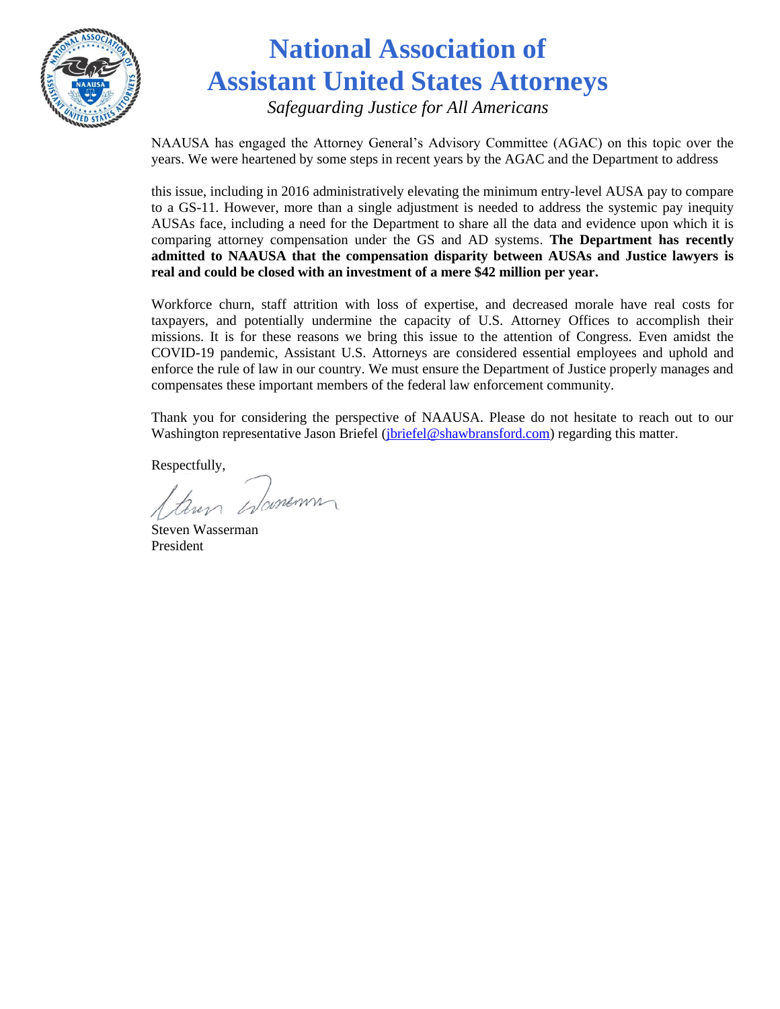

*Safeguarding Justice for All Americans*

NAAUSA has engaged the Attorney General's Advisory Committee (AGAC) on this topic over the years. We were heartened by some steps in recent years by the AGAC and the Department to address

this issue, including in 2016 administratively elevating the minimum entry-level AUSA pay to compare to a GS-11. However, more than a single adjustment is needed to address the systemic pay inequity AUSAs face, including a need for the Department to share all the data and evidence upon which it is comparing attorney compensation under the GS and AD systems. **The Department has recently admitted to NAAUSA that the compensation disparity between AUSAs and Justice lawyers is real and could be closed with an investment of a mere \$42 million per year.** 

Workforce churn, staff attrition with loss of expertise, and decreased morale have real costs for taxpayers, and potentially undermine the capacity of U.S. Attorney Offices to accomplish their missions. It is for these reasons we bring this issue to the attention of Congress. Even amidst the COVID-19 pandemic, Assistant U.S. Attorneys are considered essential employees and uphold and enforce the rule of law in our country. We must ensure the Department of Justice properly manages and compensates these important members of the federal law enforcement community.

Thank you for considering the perspective of NAAUSA. Please do not hesitate to reach out to our Washington representative Jason Briefel (*jbriefel@shawbransford.com*) regarding this matter.

Respectfully,

Jamenn

Steven Wasserman President